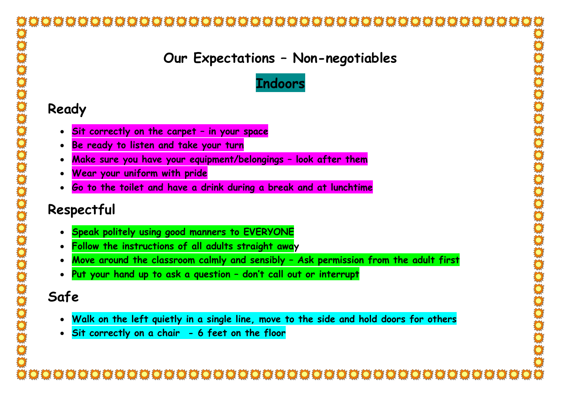### **Our Expectations – Non-negotiables**



#### **Ready**

- **Sit correctly on the carpet – in your space**
- **Be ready to listen and take your turn**
- **Make sure you have your equipment/belongings – look after them**
- **Wear your uniform with pride**
- **Go to the toilet and have a drink during a break and at lunchtime**

## **Respectful**

- **Speak politely using good manners to EVERYONE**
- **Follow the instructions of all adults straight away**
- **Move around the classroom calmly and sensibly – Ask permission from the adult first**
- **Put your hand up to ask a question – don't call out or interrupt**

## **Safe**

- **Walk on the left quietly in a single line, move to the side and hold doors for others**
- **Sit correctly on a chair - 6 feet on the floor**